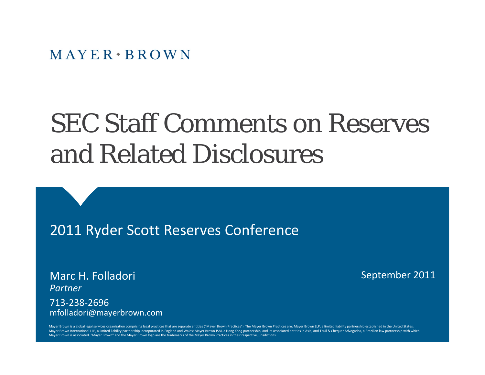# SEC Staff Comments on Reserves and Related Disclosures

2011 Ryder Scott Reserves Conference

Marc H. Folladori *Partner*713‐238‐2696mfolladori@mayerbrown.com September 2011

Mayer Brown is a global legal services organization comprising legal practices that are separate entities ("Mayer Brown Practices"). The Mayer Brown Practices are: Mayer Brown LLP, a limited liability partnership establish Mayer Brown International LLP, a limited liability partnership incorporated in England and Wales; Mayer Brown JSM, a Hong Kong partnership, and its associated entities in Asia; and Tauil & Chequer Advogados, a Brazilian la Mayer Brown is associated. "Mayer Brown" and the Mayer Brown logo are the trademarks of the Mayer Brown Practices in their respective jurisdictions.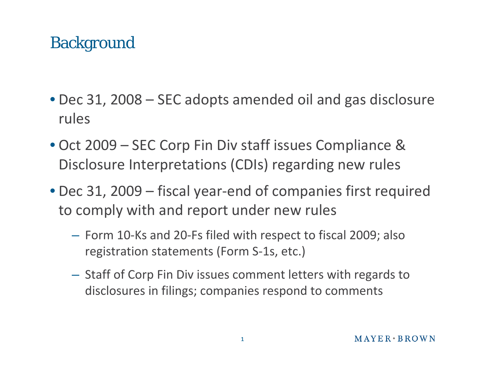#### **Background**

- Dec 31, 2008 SEC adopts amended oil and gas disclosure rules
- Oct 2009 SEC Corp Fin Div staff issues Compliance & Disclosure Interpretations (CDIs) regarding new rules
- Dec 31, 2009 fiscal year‐end of companies first required to comply with and report under new rules
	- Form 10‐Ks and 20‐Fs filed with respect to fiscal 2009; also registration statements (Form S‐1s, etc.)
	- – $-$  Staff of Corp Fin Div issues comment letters with regards to disclosures in filings; companies respond to comments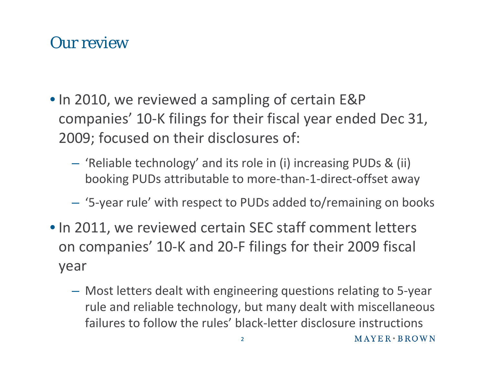#### Our review

- In 2010, we reviewed <sup>a</sup> sampling of certain E&P companies' 10‐K filings for their fiscal year ended Dec 31, 2009; focused on their disclosures of:
	- $\mathcal{L}_{\mathcal{A}}$  , and the set of the set of the set of the set of the set of the set of the set of the set of the set of the set of the set of the set of the set of the set of the set of the set of the set of the set of th 'Reliable technology' and its role in (i) increasing PUDs & (ii) booking PUDs attributable to more‐than‐1‐direct‐offset away
	- $\mathcal{L}_{\mathcal{A}}$ '5‐year rule' with respect to PUDs added to/remaining on books
- In 2011, we reviewed certain SEC staff comment letters on companies' 10‐K and 20‐F filings for their 2009 fiscal year
	- $\mathcal{L}_{\mathcal{A}}$  , and the set of the set of the set of the set of the set of the set of the set of the set of the set of the set of the set of the set of the set of the set of the set of the set of the set of the set of th Most letters dealt with engineering questions relating to 5‐year rule and reliable technology, but many dealt with miscellaneous failures to follow the rules' black‐letter disclosure instructions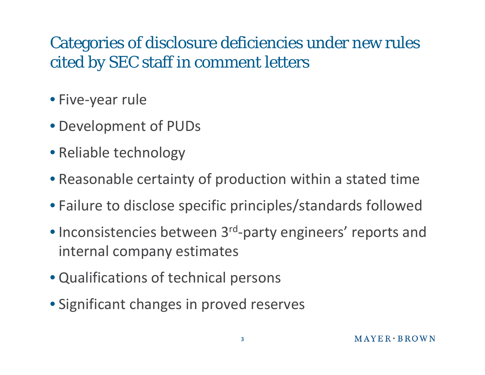# Categories of disclosure deficiencies under new rules cited by SEC staff in comment letters

- Five‐year rule
- Development of PUDs
- Reliable technology
- Reasonable certainty of production within <sup>a</sup> stated time
- Failure to disclose specific principles/standards followed
- Inconsistencies between 3<sup>rd</sup>-party engineers' reports and internal company estimates
- Qualifications of technical persons
- Significant changes in proved reserves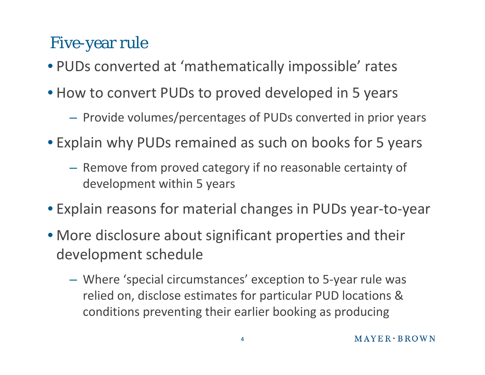#### Five-year rule

- PUDs converted at 'mathematically impossible' rates
- How to convert PUDs to proved developed in 5 years
	- $-$  Provide volumes/percentages of PUDs converted in prior years
- Explain why PUDs remained as such on books for 5 years
	- Remove from proved category if no reasonable certainty of development within 5 years
- Explain reasons for material changes in PUDs year‐to‐year
- More disclosure about significant properties and their development schedule
	- Where 'special circumstances' exception to 5‐year rule was relied on, disclose estimates for particular PUD locations & conditions preventing their earlier booking as producing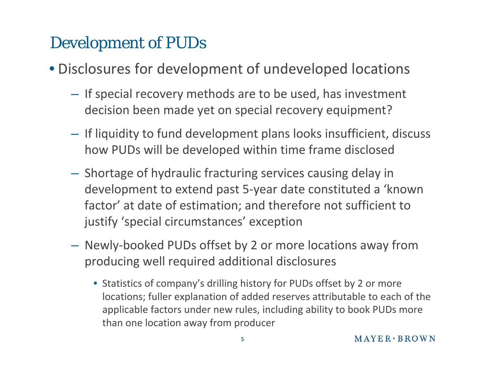# Development of PUDs

- Disclosures for development of undeveloped locations
	- $\mathcal{L}_{\mathcal{A}}$  , and the set of the set of the set of the set of the set of the set of the set of the set of the set of the set of the set of the set of the set of the set of the set of the set of the set of the set of th  $-$  If special recovery methods are to be used, has investment decision been made yet on special recovery equipment?
	- $\mathcal{L}_{\mathcal{A}}$  , and the set of the set of the set of the set of the set of the set of the set of the set of the set of the set of the set of the set of the set of the set of the set of the set of the set of the set of th  $-$  If liquidity to fund development plans looks insufficient, discuss how PUDs will be developed within time frame disclosed
	- $\mathcal{L}_{\mathcal{A}}$  , and the set of the set of the set of the set of the set of the set of the set of the set of the set of the set of the set of the set of the set of the set of the set of the set of the set of the set of th  $-$  Shortage of hydraulic fracturing services causing delay in development to extend past 5‐year date constituted <sup>a</sup> 'known factor' at date of estimation; and therefore not sufficient to justify 'special circumstances' exception
	- $\mathcal{L}_{\mathcal{A}}$  , and the set of the set of the set of the set of the set of the set of the set of the set of the set of the set of the set of the set of the set of the set of the set of the set of the set of the set of th Newly‐booked PUDs offset by 2 or more locations away from producing well required additional disclosures
		- Statistics of company's drilling history for PUDs offset by 2 or more locations; fuller explanation of added reserves attributable to each of the applicable factors under new rules, including ability to book PUDs more than one location away from producer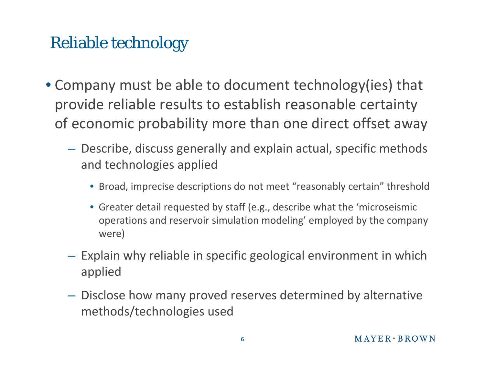# Reliable technology

- Company must be able to document technology(ies) that provide reliable results to establish reasonable certainty of economic probability more than one direct offset away
	- Describe, discuss generally and explain actual, specific methods and technologies applied
		- Broad, imprecise descriptions do not meet "reasonably certain" threshold
		- Greater detail requested by staff (e.g., describe what the 'microseismic operations and reservoir simulation modeling' employed by the company were)
	- $-$  Explain why reliable in specific geological environment in which applied
	- Disclose how many proved reserves determined by alternative methods/technologies used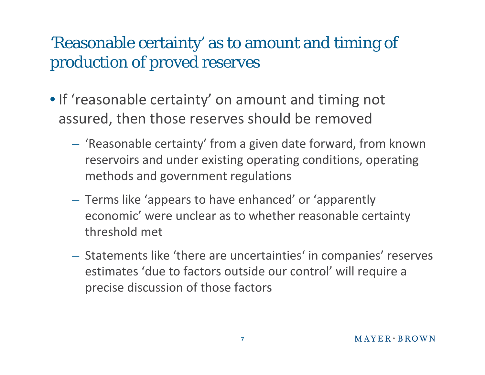# 'Reasonable certainty' as to amount and timing of production of proved reserves

- If 'reasonable certainty' on amount and timing not assured, then those reserves should be removed
	- $\mathcal{L}_{\mathcal{A}}$  'Reasonable certainty' from <sup>a</sup> given date forward, from known reservoirs and under existing operating conditions, operating methods and government regulations
	- $\mathcal{L}_{\mathcal{A}}$  Terms like 'appears to have enhanced' or 'apparently economic' were unclear as to whether reasonable certainty threshold met
	- – $-$  Statements like 'there are uncertainties' in companies' reserves estimates 'due to factors outside our control' will require <sup>a</sup> precise discussion of those factors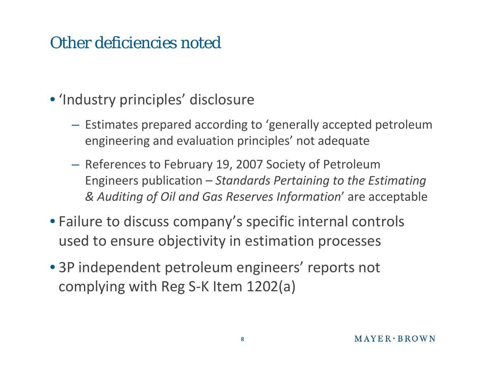#### Other deficiencies noted

- 'Industry principles' disclosure
	- $\mathcal{L}_{\mathcal{A}}$  , and the set of the set of the set of the set of the set of the set of the set of the set of the set of the set of the set of the set of the set of the set of the set of the set of the set of the set of th  $-$  Estimates prepared according to 'generally accepted petroleum engineering and evaluation principles' not adequate
	- $\mathcal{L}_{\mathcal{A}}$  , and the set of the set of the set of the set of the set of the set of the set of the set of the set of the set of the set of the set of the set of the set of the set of the set of the set of the set of th  $-$  References to February 19, 2007 Society of Petroleum Engineers publication – *Standards Pertaining to the Estimating & Auditing of Oil and Gas Reserves Information*' are acceptable
- Failure to discuss company's specific internal controls used to ensure objectivity in estimation processes
- 3P independent petroleum engineers' reports not complying with Reg S‐K Item 1202(a)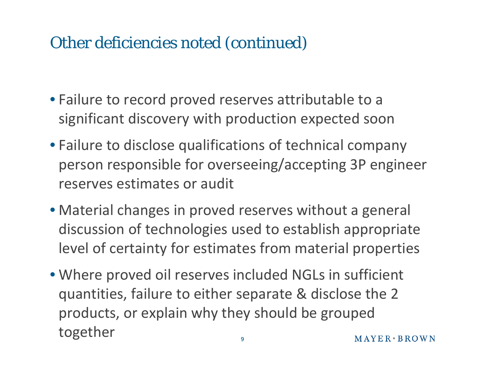#### Other deficiencies noted (continued)

- Failure to record proved reserves attributable to <sup>a</sup> significant discovery with production expected soon
- Failure to disclose qualifications of technical company person responsible for overseeing/accepting 3P engineer reserves estimates or audit
- Material changes in proved reserves without <sup>a</sup> general discussion of technologies used to establish appropriate level of certainty for estimates from material properties
- Where proved oil reserves included NGLs in sufficient quantities, failure to either separate & disclose the 2 products, or explain why they should be grouped together  $MAYER+BROWN$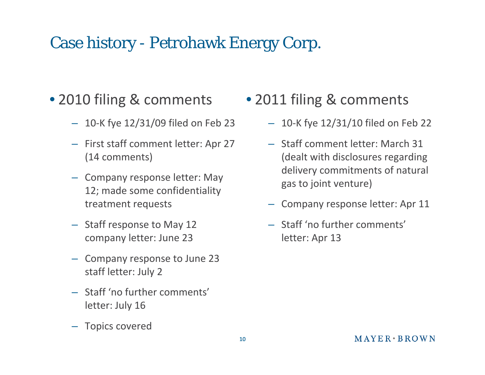# Case history - Petrohawk Energy Corp.

#### • 2010 filing & comments

- 10‐K fye 12/31/09 filed on Feb 23
- First staff comment letter: Apr 27 (14 comments)
- Company response letter: May 12; made some confidentiality treatment requests
- Staff response to May 12 company letter: June 23
- Company response to June 23 staff letter: July 2
- Staff 'no further comments' letter: July 16
- Topics covered
- 2011 filing & comments
	- 10‐K fye 12/31/10 filed on Feb 22
	- Staff comment letter: March 31 (dealt with disclosures regarding delivery commitments of natural gas to joint venture)
	- Company response letter: Apr 11
	- Staff 'no further comments' letter: Apr 13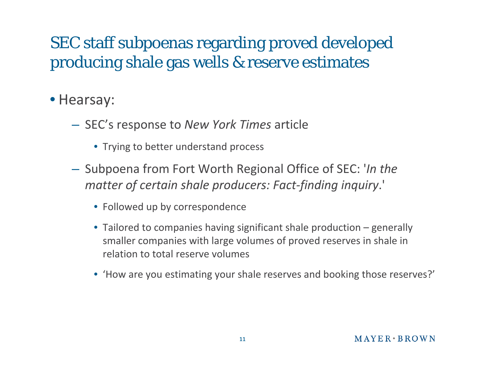# SEC staff subpoenas regarding proved developed producing shale gas wells & reserve estimates

- Hearsay:
	- $\mathcal{L}_{\mathcal{A}}$  , and the set of the set of the set of the set of the set of the set of the set of the set of the set of the set of the set of the set of the set of the set of the set of the set of the set of the set of th SEC's response to *New York Times* article
		- Trying to better understand process
	- $\mathcal{L}_{\mathcal{A}}$  , and the set of the set of the set of the set of the set of the set of the set of the set of the set of the set of the set of the set of the set of the set of the set of the set of the set of the set of th  $-$  Subpoena from Fort Worth Regional Office of SEC: '*In the matter of certain shale producers: Fact‐finding inquiry*.'
		- Followed up by correspondence
		- Tailored to companies having significant shale production generally smaller companies with large volumes of proved reserves in shale in relation to total reserve volumes
		- 'How are you estimating your shale reserves and booking those reserves?'